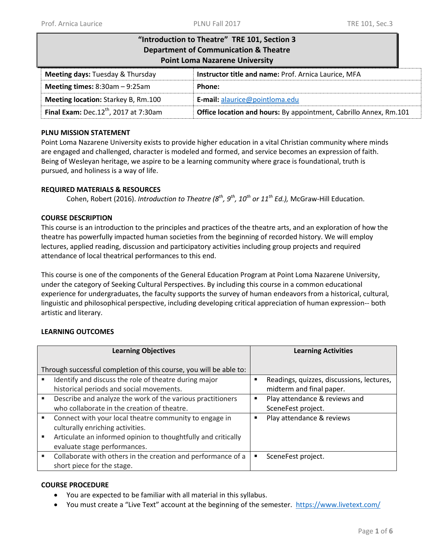| "Introduction to Theatre" TRE 101, Section 3<br><b>Department of Communication &amp; Theatre</b><br><b>Point Loma Nazarene University</b> |                                                                   |  |  |
|-------------------------------------------------------------------------------------------------------------------------------------------|-------------------------------------------------------------------|--|--|
| Meeting days: Tuesday & Thursday                                                                                                          | Instructor title and name: Prof. Arnica Laurice, MFA              |  |  |
| Meeting times: $8:30am - 9:25am$                                                                                                          | Phone:                                                            |  |  |
| <b>Meeting location: Starkey B, Rm.100</b>                                                                                                | <b>E-mail:</b> alaurice@pointloma.edu                             |  |  |
| <b>Final Exam:</b> Dec. $12^{th}$ , 2017 at 7:30am                                                                                        | Office location and hours: By appointment, Cabrillo Annex, Rm.101 |  |  |

### **PLNU MISSION STATEMENT**

Point Loma Nazarene University exists to provide higher education in a vital Christian community where minds are engaged and challenged, character is modeled and formed, and service becomes an expression of faith. Being of Wesleyan heritage, we aspire to be a learning community where grace is foundational, truth is pursued, and holiness is a way of life.

# **REQUIRED MATERIALS & RESOURCES**

Cohen, Robert (2016). *Introduction to Theatre (8 th, 9th, 10th or 11 th Ed.),* McGraw-Hill Education.

# **COURSE DESCRIPTION**

This course is an introduction to the principles and practices of the theatre arts, and an exploration of how the theatre has powerfully impacted human societies from the beginning of recorded history. We will employ lectures, applied reading, discussion and participatory activities including group projects and required attendance of local theatrical performances to this end.

This course is one of the components of the General Education Program at Point Loma Nazarene University, under the category of Seeking Cultural Perspectives. By including this course in a common educational experience for undergraduates, the faculty supports the survey of human endeavors from a historical, cultural, linguistic and philosophical perspective, including developing critical appreciation of human expression-- both artistic and literary.

# **LEARNING OUTCOMES**

| <b>Learning Objectives</b> |                                                                                                           |   | <b>Learning Activities</b>                                            |  |  |
|----------------------------|-----------------------------------------------------------------------------------------------------------|---|-----------------------------------------------------------------------|--|--|
|                            | Through successful completion of this course, you will be able to:                                        |   |                                                                       |  |  |
|                            | Identify and discuss the role of theatre during major<br>historical periods and social movements.         | ٠ | Readings, quizzes, discussions, lectures,<br>midterm and final paper. |  |  |
|                            | Describe and analyze the work of the various practitioners<br>who collaborate in the creation of theatre. | ٠ | Play attendance & reviews and<br>SceneFest project.                   |  |  |
|                            | Connect with your local theatre community to engage in<br>culturally enriching activities.                | п | Play attendance & reviews                                             |  |  |
|                            | Articulate an informed opinion to thoughtfully and critically<br>evaluate stage performances.             |   |                                                                       |  |  |
|                            | Collaborate with others in the creation and performance of a<br>short piece for the stage.                | ٠ | SceneFest project.                                                    |  |  |

### **COURSE PROCEDURE**

- You are expected to be familiar with all material in this syllabus.
- You must create a "Live Text" account at the beginning of the semester. <https://www.livetext.com/>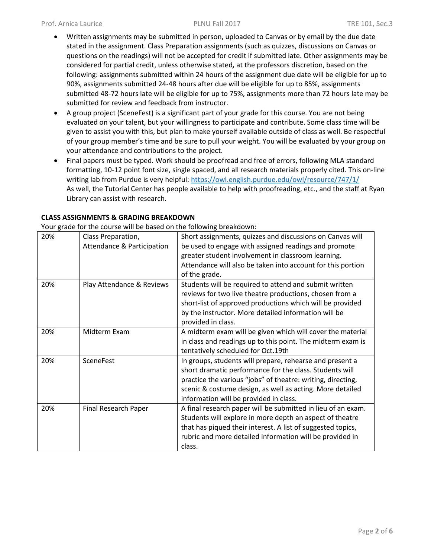- Written assignments may be submitted in person, uploaded to Canvas or by email by the due date stated in the assignment. Class Preparation assignments (such as quizzes, discussions on Canvas or questions on the readings) will not be accepted for credit if submitted late. Other assignments may be considered for partial credit, unless otherwise stated*,* at the professors discretion, based on the following: assignments submitted within 24 hours of the assignment due date will be eligible for up to 90%, assignments submitted 24-48 hours after due will be eligible for up to 85%, assignments submitted 48-72 hours late will be eligible for up to 75%, assignments more than 72 hours late may be submitted for review and feedback from instructor.
- A group project (SceneFest) is a significant part of your grade for this course. You are not being evaluated on your talent, but your willingness to participate and contribute. Some class time will be given to assist you with this, but plan to make yourself available outside of class as well. Be respectful of your group member's time and be sure to pull your weight. You will be evaluated by your group on your attendance and contributions to the project.
- Final papers must be typed. Work should be proofread and free of errors, following MLA standard formatting, 10-12 point font size, single spaced, and all research materials properly cited. This on-line writing lab from Purdue is very helpful: <https://owl.english.purdue.edu/owl/resource/747/1/> As well, the Tutorial Center has people available to help with proofreading, etc., and the staff at Ryan Library can assist with research.

| Four grade for the course will be based on the following breakdown. |                                       |                                                              |  |  |
|---------------------------------------------------------------------|---------------------------------------|--------------------------------------------------------------|--|--|
| 20%                                                                 | Class Preparation,                    | Short assignments, quizzes and discussions on Canvas will    |  |  |
|                                                                     | <b>Attendance &amp; Participation</b> | be used to engage with assigned readings and promote         |  |  |
|                                                                     |                                       | greater student involvement in classroom learning.           |  |  |
|                                                                     |                                       | Attendance will also be taken into account for this portion  |  |  |
|                                                                     |                                       | of the grade.                                                |  |  |
| 20%                                                                 | Play Attendance & Reviews             | Students will be required to attend and submit written       |  |  |
|                                                                     |                                       | reviews for two live theatre productions, chosen from a      |  |  |
|                                                                     |                                       | short-list of approved productions which will be provided    |  |  |
|                                                                     |                                       | by the instructor. More detailed information will be         |  |  |
|                                                                     |                                       | provided in class.                                           |  |  |
| 20%                                                                 | Midterm Exam                          | A midterm exam will be given which will cover the material   |  |  |
|                                                                     |                                       | in class and readings up to this point. The midterm exam is  |  |  |
|                                                                     |                                       | tentatively scheduled for Oct.19th                           |  |  |
| 20%                                                                 | <b>SceneFest</b>                      | In groups, students will prepare, rehearse and present a     |  |  |
|                                                                     |                                       | short dramatic performance for the class. Students will      |  |  |
|                                                                     |                                       | practice the various "jobs" of theatre: writing, directing,  |  |  |
|                                                                     |                                       | scenic & costume design, as well as acting. More detailed    |  |  |
|                                                                     |                                       | information will be provided in class.                       |  |  |
| 20%                                                                 | Final Research Paper                  | A final research paper will be submitted in lieu of an exam. |  |  |
|                                                                     |                                       | Students will explore in more depth an aspect of theatre     |  |  |
|                                                                     |                                       | that has piqued their interest. A list of suggested topics,  |  |  |
|                                                                     |                                       | rubric and more detailed information will be provided in     |  |  |
|                                                                     |                                       | class.                                                       |  |  |

**CLASS ASSIGNMENTS & GRADING BREAKDOWN**

Your grade for the course will be based on the following breakdown: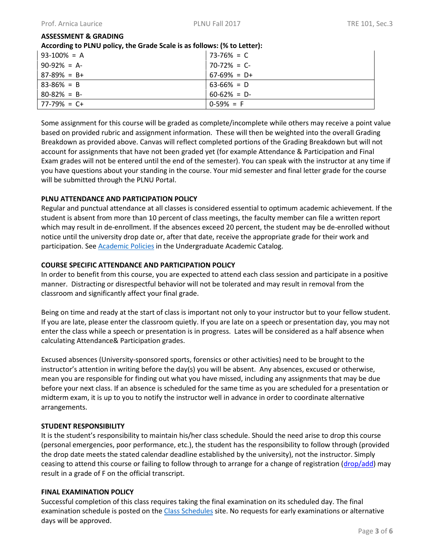### **ASSESSMENT & GRADING**

#### **According to PLNU policy, the Grade Scale is as follows: (% to Letter):**

| 93-100% = A     | $73-76\% = C$   |
|-----------------|-----------------|
| $90-92\% = A$   | $70-72\% = C$   |
| $87-89\% = B+$  | $67-69\% = D+$  |
| $83 - 86\% = B$ | $63-66\% = D$   |
| $80 - 82\% = B$ | $60 - 62\% = D$ |
| $77-79\% = C+$  | $0-59\% = F$    |

Some assignment for this course will be graded as complete/incomplete while others may receive a point value based on provided rubric and assignment information. These will then be weighted into the overall Grading Breakdown as provided above. Canvas will reflect completed portions of the Grading Breakdown but will not account for assignments that have not been graded yet (for example Attendance & Participation and Final Exam grades will not be entered until the end of the semester). You can speak with the instructor at any time if you have questions about your standing in the course. Your mid semester and final letter grade for the course will be submitted through the PLNU Portal.

# **PLNU ATTENDANCE AND PARTICIPATION POLICY**

Regular and punctual attendance at all classes is considered essential to optimum academic achievement. If the student is absent from more than 10 percent of class meetings, the faculty member can file a written report which may result in de-enrollment. If the absences exceed 20 percent, the student may be de-enrolled without notice until the university drop date or, after that date, receive the appropriate grade for their work and participation. See **Academic Policies** in the Undergraduate Academic Catalog.

# **COURSE SPECIFIC ATTENDANCE AND PARTICIPATION POLICY**

In order to benefit from this course, you are expected to attend each class session and participate in a positive manner. Distracting or disrespectful behavior will not be tolerated and may result in removal from the classroom and significantly affect your final grade.

Being on time and ready at the start of class is important not only to your instructor but to your fellow student. If you are late, please enter the classroom quietly. If you are late on a speech or presentation day, you may not enter the class while a speech or presentation is in progress. Lates will be considered as a half absence when calculating Attendance& Participation grades.

Excused absences (University-sponsored sports, forensics or other activities) need to be brought to the instructor's attention in writing before the day(s) you will be absent. Any absences, excused or otherwise, mean you are responsible for finding out what you have missed, including any assignments that may be due before your next class. If an absence is scheduled for the same time as you are scheduled for a presentation or midterm exam, it is up to you to notify the instructor well in advance in order to coordinate alternative arrangements.

# **STUDENT RESPONSIBILITY**

It is the student's responsibility to maintain his/her class schedule. Should the need arise to drop this course (personal emergencies, poor performance, etc.), the student has the responsibility to follow through (provided the drop date meets the stated calendar deadline established by the university), not the instructor. Simply ceasing to attend this course or failing to follow through to arrange for a change of registration [\(drop/add\)](http://www.pointloma.edu/sites/default/files/filemanager/Records_Office/Change_of_Schedule_Form.pdf) may result in a grade of F on the official transcript.

# **FINAL EXAMINATION POLICY**

Successful completion of this class requires taking the final examination on its scheduled day. The final examination schedule is posted on the [Class Schedules](http://www.pointloma.edu/experience/academics/class-schedules) site. No requests for early examinations or alternative days will be approved.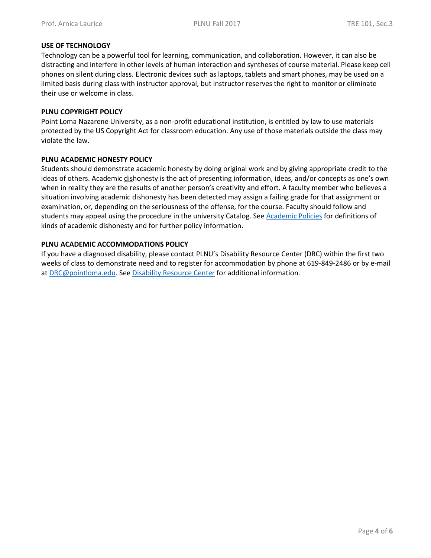### **USE OF TECHNOLOGY**

Technology can be a powerful tool for learning, communication, and collaboration. However, it can also be distracting and interfere in other levels of human interaction and syntheses of course material. Please keep cell phones on silent during class. Electronic devices such as laptops, tablets and smart phones, may be used on a limited basis during class with instructor approval, but instructor reserves the right to monitor or eliminate their use or welcome in class.

### **PLNU COPYRIGHT POLICY**

Point Loma Nazarene University, as a non-profit educational institution, is entitled by law to use materials protected by the US Copyright Act for classroom education. Any use of those materials outside the class may violate the law.

### **PLNU ACADEMIC HONESTY POLICY**

Students should demonstrate academic honesty by doing original work and by giving appropriate credit to the ideas of others. Academic dishonesty is the act of presenting information, ideas, and/or concepts as one's own when in reality they are the results of another person's creativity and effort. A faculty member who believes a situation involving academic dishonesty has been detected may assign a failing grade for that assignment or examination, or, depending on the seriousness of the offense, for the course. Faculty should follow and students may appeal using the procedure in the university Catalog. See [Academic Policies](http://catalog.pointloma.edu/content.php?catoid=18&navoid=1278) for definitions of kinds of academic dishonesty and for further policy information.

### **PLNU ACADEMIC ACCOMMODATIONS POLICY**

If you have a diagnosed disability, please contact PLNU's Disability Resource Center (DRC) within the first two weeks of class to demonstrate need and to register for accommodation by phone at 619-849-2486 or by e-mail at [DRC@pointloma.edu.](mailto:DRC@pointloma.edu) See [Disability Resource Center](http://www.pointloma.edu/experience/offices/administrative-offices/academic-advising-office/disability-resource-center) for additional information.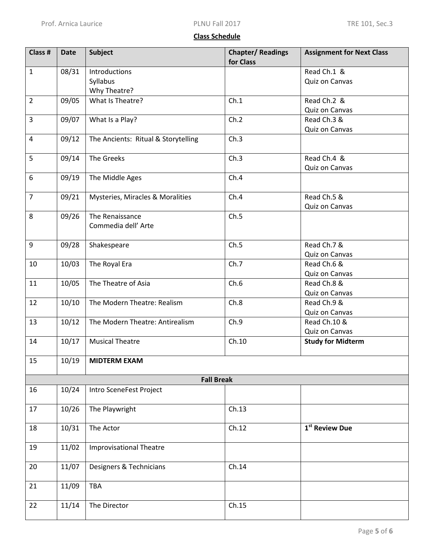# **Class Schedule**

| Class #        | <b>Date</b>       | <b>Subject</b>                         | <b>Chapter/Readings</b><br>for Class | <b>Assignment for Next Class</b> |  |
|----------------|-------------------|----------------------------------------|--------------------------------------|----------------------------------|--|
| $\mathbf{1}$   | 08/31             | Introductions<br>Syllabus              |                                      | Read Ch.1 &<br>Quiz on Canvas    |  |
|                |                   | Why Theatre?                           |                                      |                                  |  |
| $\overline{2}$ | 09/05             | What Is Theatre?                       | Ch.1                                 | Read Ch.2 &                      |  |
|                |                   |                                        |                                      | Quiz on Canvas                   |  |
| $\overline{3}$ | 09/07             | What Is a Play?                        | Ch.2                                 | Read Ch.3 &<br>Quiz on Canvas    |  |
| $\overline{4}$ | 09/12             | The Ancients: Ritual & Storytelling    | Ch.3                                 |                                  |  |
| 5              | 09/14             | The Greeks                             | Ch.3                                 | Read Ch.4 &<br>Quiz on Canvas    |  |
| 6              | 09/19             | The Middle Ages                        | Ch.4                                 |                                  |  |
| $\overline{7}$ | 09/21             | Mysteries, Miracles & Moralities       | Ch.4                                 | Read Ch.5 &                      |  |
| 8              | 09/26             | The Renaissance<br>Commedia dell' Arte | Ch.5                                 | Quiz on Canvas                   |  |
| 9              | 09/28             | Shakespeare                            | Ch.5                                 | Read Ch.7 &<br>Quiz on Canvas    |  |
| 10             | 10/03             | The Royal Era                          | Ch.7                                 | Read Ch.6 &<br>Quiz on Canvas    |  |
| 11             | 10/05             | The Theatre of Asia                    | Ch.6                                 | Read Ch.8 &<br>Quiz on Canvas    |  |
| 12             | 10/10             | The Modern Theatre: Realism            | Ch.8                                 | Read Ch.9 &<br>Quiz on Canvas    |  |
| 13             | 10/12             | The Modern Theatre: Antirealism        | Ch.9                                 | Read Ch.10 &<br>Quiz on Canvas   |  |
| 14             | 10/17             | <b>Musical Theatre</b>                 | Ch.10                                | <b>Study for Midterm</b>         |  |
| 15             | 10/19             | <b>MIDTERM EXAM</b>                    |                                      |                                  |  |
|                | <b>Fall Break</b> |                                        |                                      |                                  |  |
| 16             | 10/24             | Intro SceneFest Project                |                                      |                                  |  |
| 17             | 10/26             | The Playwright                         | Ch.13                                |                                  |  |
| 18             | 10/31             | The Actor                              | Ch.12                                | 1 <sup>st</sup> Review Due       |  |
| 19             | 11/02             | <b>Improvisational Theatre</b>         |                                      |                                  |  |
| 20             | 11/07             | Designers & Technicians                | Ch.14                                |                                  |  |
| 21             | 11/09             | TBA                                    |                                      |                                  |  |
| 22             | 11/14             | The Director                           | Ch.15                                |                                  |  |